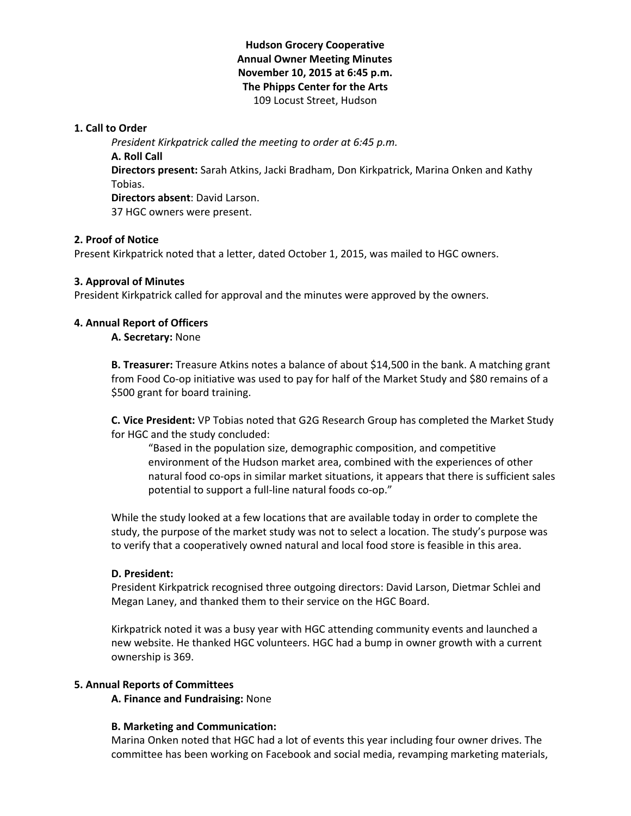# **Hudson Grocery Cooperative Annual Owner Meeting Minutes November 10, 2015 at 6:45 p.m. The Phipps Center for the Arts** 109 Locust Street, Hudson

### **1. Call to Order**

*President Kirkpatrick called the meeting to order at 6:45 p.m.* **A. Roll Call Directors present:** Sarah Atkins, Jacki Bradham, Don Kirkpatrick, Marina Onken and Kathy Tobias. **Directors absent**: David Larson. 37 HGC owners were present.

# **2. Proof of Notice**

Present Kirkpatrick noted that a letter, dated October 1, 2015, was mailed to HGC owners.

### **3. Approval of Minutes**

President Kirkpatrick called for approval and the minutes were approved by the owners.

### **4. Annual Report of Officers**

**A. Secretary:** None

**B. Treasurer:** Treasure Atkins notes a balance of about \$14,500 in the bank. A matching grant from Food Co-op initiative was used to pay for half of the Market Study and \$80 remains of a \$500 grant for board training.

**C. Vice President:** VP Tobias noted that G2G Research Group has completed the Market Study for HGC and the study concluded:

"Based in the population size, demographic composition, and competitive environment of the Hudson market area, combined with the experiences of other natural food co-ops in similar market situations, it appears that there is sufficient sales potential to support a full-line natural foods co-op."

While the study looked at a few locations that are available today in order to complete the study, the purpose of the market study was not to select a location. The study's purpose was to verify that a cooperatively owned natural and local food store is feasible in this area.

### **D. President:**

President Kirkpatrick recognised three outgoing directors: David Larson, Dietmar Schlei and Megan Laney, and thanked them to their service on the HGC Board.

Kirkpatrick noted it was a busy year with HGC attending community events and launched a new website. He thanked HGC volunteers. HGC had a bump in owner growth with a current ownership is 369.

# **5. Annual Reports of Committees**

**A. Finance and Fundraising:** None

### **B. Marketing and Communication:**

Marina Onken noted that HGC had a lot of events this year including four owner drives. The committee has been working on Facebook and social media, revamping marketing materials,